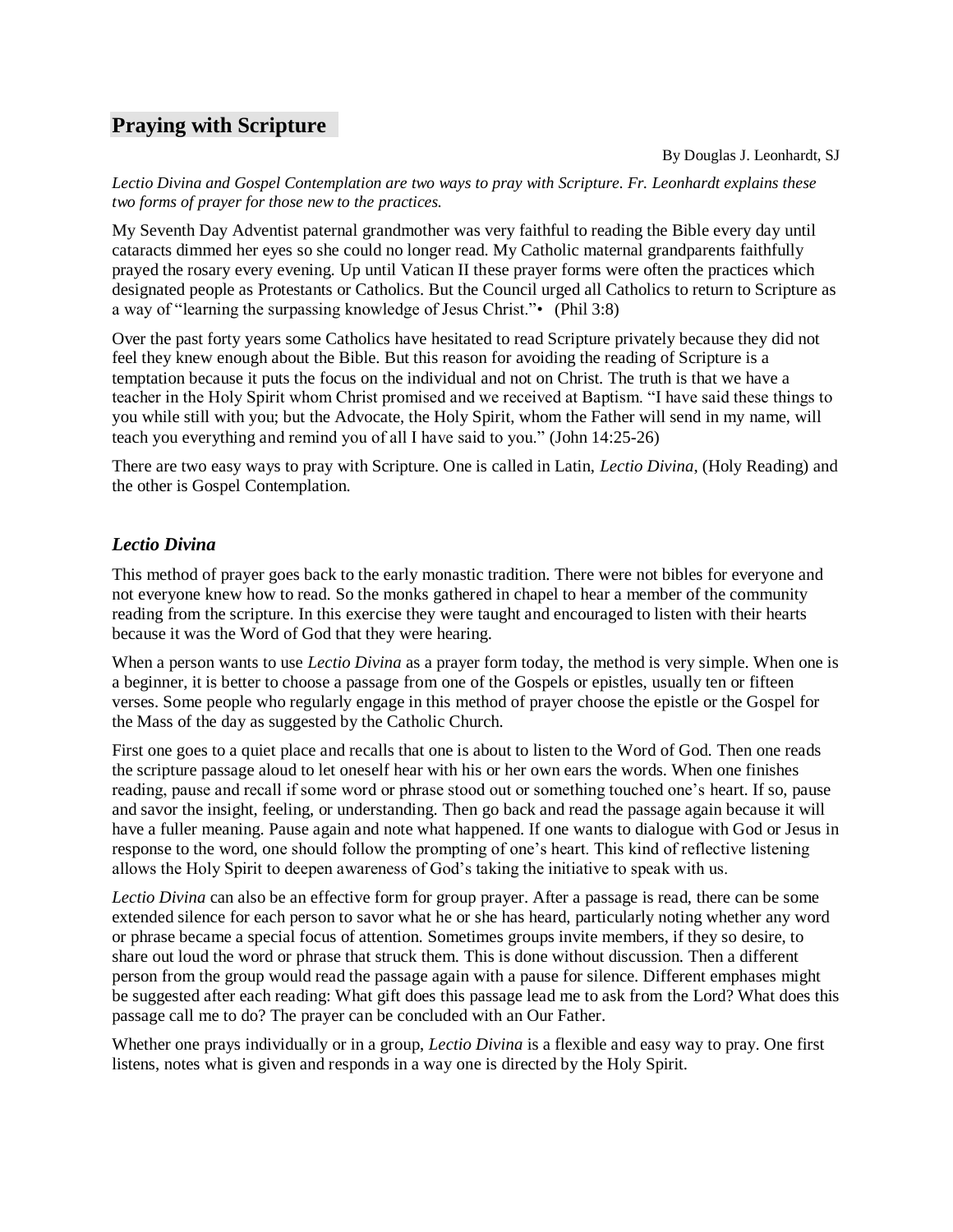# **Praying with Scripture**

By Douglas J. Leonhardt, SJ

*Lectio Divina and Gospel Contemplation are two ways to pray with Scripture. Fr. Leonhardt explains these two forms of prayer for those new to the practices.*

My Seventh Day Adventist paternal grandmother was very faithful to reading the Bible every day until cataracts dimmed her eyes so she could no longer read. My Catholic maternal grandparents faithfully prayed the rosary every evening. Up until Vatican II these prayer forms were often the practices which designated people as Protestants or Catholics. But the Council urged all Catholics to return to Scripture as a way of "learning the surpassing knowledge of Jesus Christ."• (Phil 3:8)

Over the past forty years some Catholics have hesitated to read Scripture privately because they did not feel they knew enough about the Bible. But this reason for avoiding the reading of Scripture is a temptation because it puts the focus on the individual and not on Christ. The truth is that we have a teacher in the Holy Spirit whom Christ promised and we received at Baptism. "I have said these things to you while still with you; but the Advocate, the Holy Spirit, whom the Father will send in my name, will teach you everything and remind you of all I have said to you." (John 14:25-26)

There are two easy ways to pray with Scripture. One is called in Latin, *Lectio Divina*, (Holy Reading) and the other is Gospel Contemplation.

## *Lectio Divina*

This method of prayer goes back to the early monastic tradition. There were not bibles for everyone and not everyone knew how to read. So the monks gathered in chapel to hear a member of the community reading from the scripture. In this exercise they were taught and encouraged to listen with their hearts because it was the Word of God that they were hearing.

When a person wants to use *Lectio Divina* as a prayer form today, the method is very simple. When one is a beginner, it is better to choose a passage from one of the Gospels or epistles, usually ten or fifteen verses. Some people who regularly engage in this method of prayer choose the epistle or the Gospel for the Mass of the day as suggested by the Catholic Church.

First one goes to a quiet place and recalls that one is about to listen to the Word of God. Then one reads the scripture passage aloud to let oneself hear with his or her own ears the words. When one finishes reading, pause and recall if some word or phrase stood out or something touched one's heart. If so, pause and savor the insight, feeling, or understanding. Then go back and read the passage again because it will have a fuller meaning. Pause again and note what happened. If one wants to dialogue with God or Jesus in response to the word, one should follow the prompting of one's heart. This kind of reflective listening allows the Holy Spirit to deepen awareness of God's taking the initiative to speak with us.

*Lectio Divina* can also be an effective form for group prayer. After a passage is read, there can be some extended silence for each person to savor what he or she has heard, particularly noting whether any word or phrase became a special focus of attention. Sometimes groups invite members, if they so desire, to share out loud the word or phrase that struck them. This is done without discussion. Then a different person from the group would read the passage again with a pause for silence. Different emphases might be suggested after each reading: What gift does this passage lead me to ask from the Lord? What does this passage call me to do? The prayer can be concluded with an Our Father.

Whether one prays individually or in a group, *Lectio Divina* is a flexible and easy way to pray. One first listens, notes what is given and responds in a way one is directed by the Holy Spirit.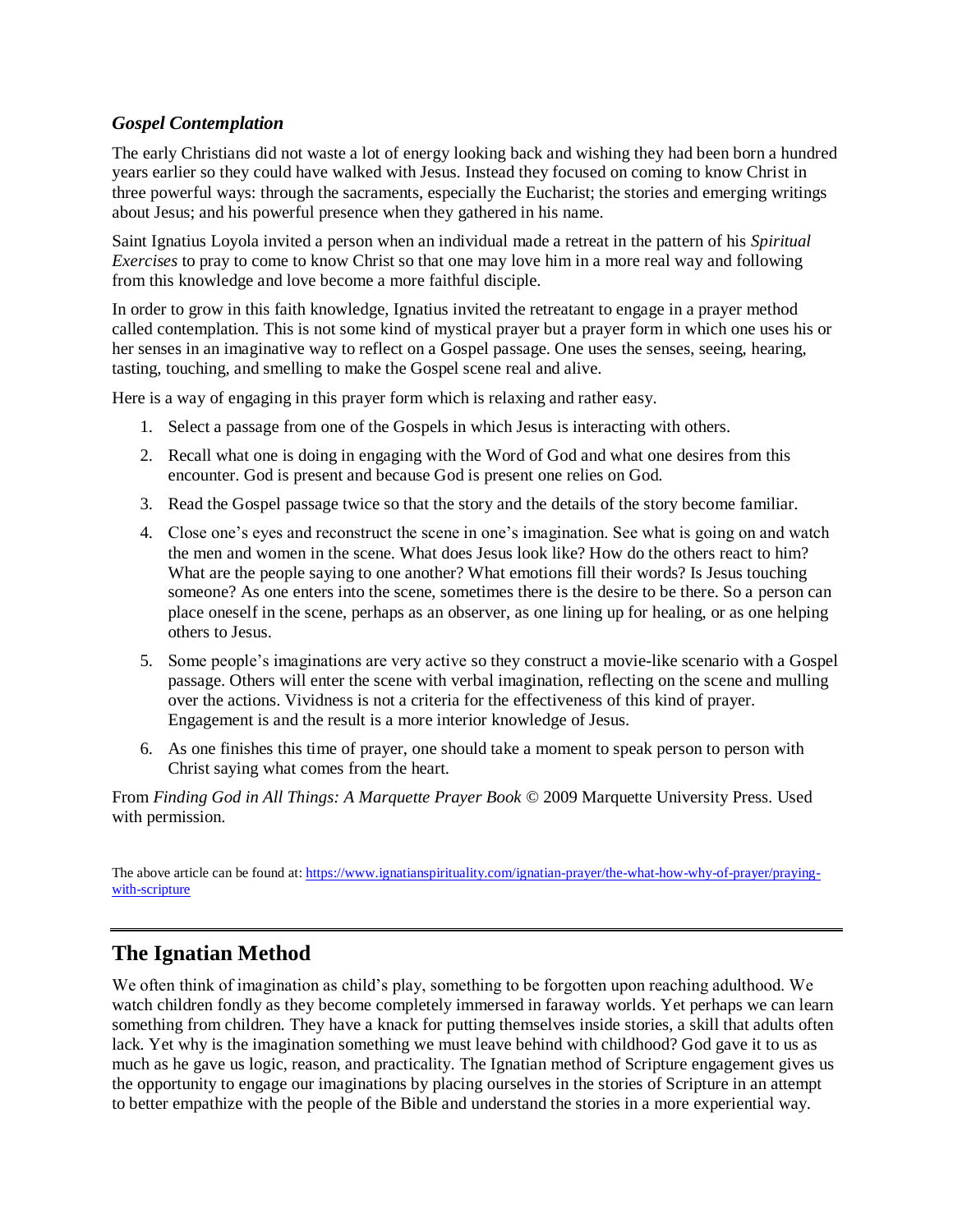## *Gospel Contemplation*

The early Christians did not waste a lot of energy looking back and wishing they had been born a hundred years earlier so they could have walked with Jesus. Instead they focused on coming to know Christ in three powerful ways: through the sacraments, especially the Eucharist; the stories and emerging writings about Jesus; and his powerful presence when they gathered in his name.

[Saint Ignatius Loyola](http://ignatianspirituality.com/ignatian-voices/st-ignatius-loyola/) invited a person when an individual made a retreat in the pattern of his *[Spiritual](http://ignatianspirituality.com/ignatian-prayer/the-spiritual-exercises/)  [Exercises](http://ignatianspirituality.com/ignatian-prayer/the-spiritual-exercises/)* to pray to come to know Christ so that one may love him in a more real way and following from this knowledge and love become a more faithful disciple.

In order to grow in this faith knowledge, Ignatius invited the retreatant to engage in a prayer method called contemplation. This is not some kind of mystical prayer but a prayer form in which one uses his or her senses in an imaginative way to reflect on a Gospel passage. One uses the senses, seeing, hearing, tasting, touching, and smelling to make the Gospel scene real and alive.

Here is a way of engaging in this prayer form which is relaxing and rather easy.

- 1. Select a passage from one of the Gospels in which Jesus is interacting with others.
- 2. Recall what one is doing in engaging with the Word of God and what one desires from this encounter. God is present and because God is present one relies on God.
- 3. Read the Gospel passage twice so that the story and the details of the story become familiar.
- 4. Close one's eyes and reconstruct the scene in one's imagination. See what is going on and watch the men and women in the scene. What does Jesus look like? How do the others react to him? What are the people saying to one another? What emotions fill their words? Is Jesus touching someone? As one enters into the scene, sometimes there is the desire to be there. So a person can place oneself in the scene, perhaps as an observer, as one lining up for healing, or as one helping others to Jesus.
- 5. Some people's imaginations are very active so they construct a movie-like scenario with a Gospel passage. Others will enter the scene with verbal imagination, reflecting on the scene and mulling over the actions. Vividness is not a criteria for the effectiveness of this kind of prayer. Engagement is and the result is a more interior knowledge of Jesus.
- 6. As one finishes this time of prayer, one should take a moment to speak person to person with Christ saying what comes from the heart.

From *Finding God in All Things: A Marquette Prayer Book* © 2009 Marquette University Press. Used with permission.

The above article can be found at[: https://www.ignatianspirituality.com/ignatian-prayer/the-what-how-why-of-prayer/praying](https://www.ignatianspirituality.com/ignatian-prayer/the-what-how-why-of-prayer/praying-with-scripture)[with-scripture](https://www.ignatianspirituality.com/ignatian-prayer/the-what-how-why-of-prayer/praying-with-scripture)

# **The Ignatian Method**

We often think of imagination as child's play, something to be forgotten upon reaching adulthood. We watch children fondly as they become completely immersed in faraway worlds. Yet perhaps we can learn something from children. They have a knack for putting themselves inside stories, a skill that adults often lack. Yet why is the imagination something we must leave behind with childhood? God gave it to us as much as he gave us logic, reason, and practicality. The Ignatian method of Scripture engagement gives us the opportunity to engage our imaginations by placing ourselves in the stories of Scripture in an attempt to better empathize with the people of the Bible and understand the stories in a more experiential way.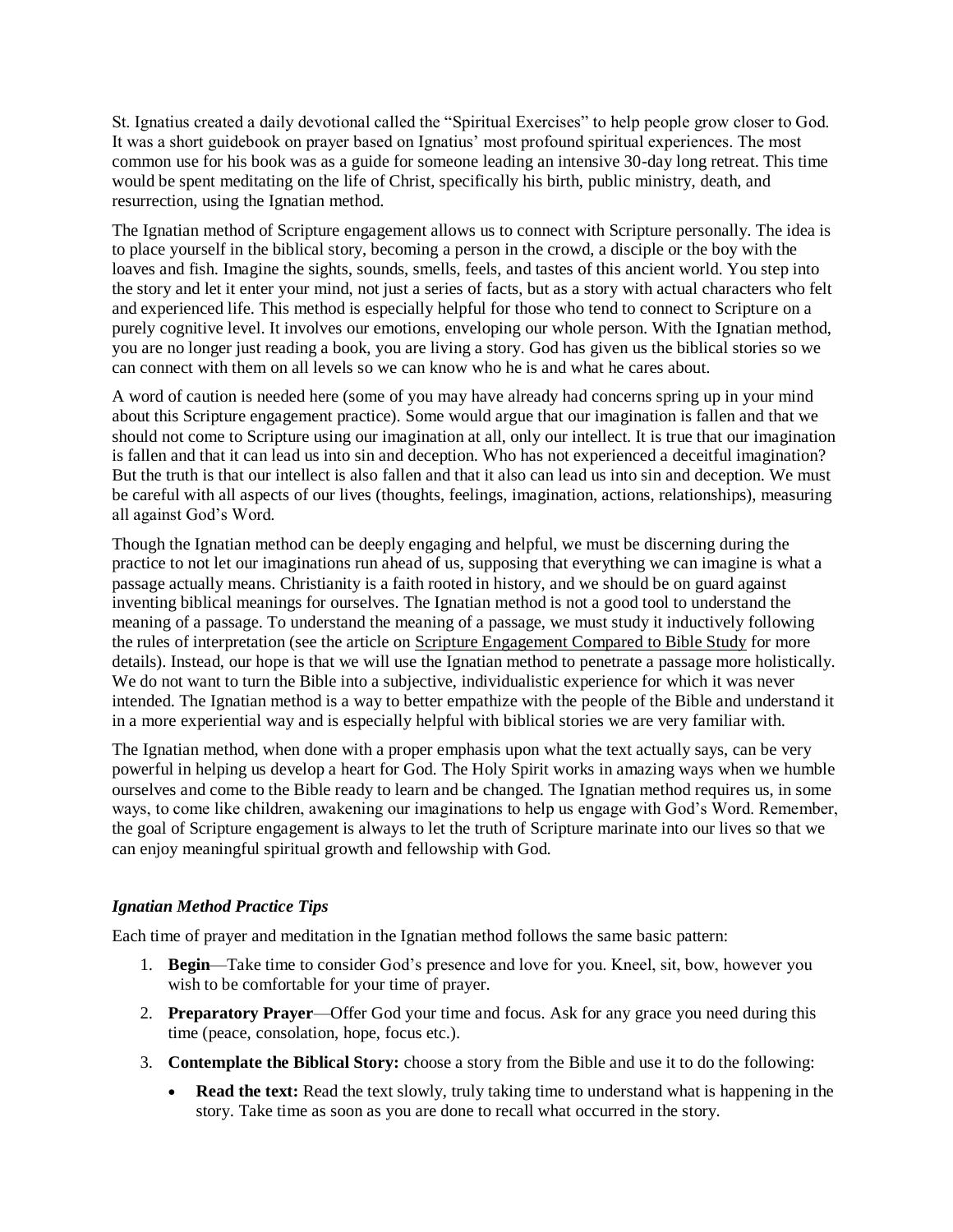St. Ignatius created a daily devotional called the "Spiritual Exercises" to help people grow closer to God. It was a short guidebook on prayer based on Ignatius' most profound spiritual experiences. The most common use for his book was as a guide for someone leading an intensive 30-day long retreat. This time would be spent meditating on the life of Christ, specifically his birth, public ministry, death, and resurrection, using the Ignatian method.

The Ignatian method of Scripture engagement allows us to connect with Scripture personally. The idea is to place yourself in the biblical story, becoming a person in the crowd, a disciple or the boy with the loaves and fish. Imagine the sights, sounds, smells, feels, and tastes of this ancient world. You step into the story and let it enter your mind, not just a series of facts, but as a story with actual characters who felt and experienced life. This method is especially helpful for those who tend to connect to Scripture on a purely cognitive level. It involves our emotions, enveloping our whole person. With the Ignatian method, you are no longer just reading a book, you are living a story. God has given us the biblical stories so we can connect with them on all levels so we can know who he is and what he cares about.

A word of caution is needed here (some of you may have already had concerns spring up in your mind about this Scripture engagement practice). Some would argue that our imagination is fallen and that we should not come to Scripture using our imagination at all, only our intellect. It is true that our imagination is fallen and that it can lead us into sin and deception. Who has not experienced a deceitful imagination? But the truth is that our intellect is also fallen and that it also can lead us into sin and deception. We must be careful with all aspects of our lives (thoughts, feelings, imagination, actions, relationships), measuring all against God's Word.

Though the Ignatian method can be deeply engaging and helpful, we must be discerning during the practice to not let our imaginations run ahead of us, supposing that everything we can imagine is what a passage actually means. Christianity is a faith rooted in history, and we should be on guard against inventing biblical meanings for ourselves. The Ignatian method is not a good tool to understand the meaning of a passage. To understand the meaning of a passage, we must study it inductively following the rules of interpretation (see the article on [Scripture Engagement Compared to Bible Study](https://www.biblegateway.com/resources/scripture-engagement/sidebar/comparison) for more details). Instead, our hope is that we will use the Ignatian method to penetrate a passage more holistically. We do not want to turn the Bible into a subjective, individualistic experience for which it was never intended. The Ignatian method is a way to better empathize with the people of the Bible and understand it in a more experiential way and is especially helpful with biblical stories we are very familiar with.

The Ignatian method, when done with a proper emphasis upon what the text actually says, can be very powerful in helping us develop a heart for God. The Holy Spirit works in amazing ways when we humble ourselves and come to the Bible ready to learn and be changed. The Ignatian method requires us, in some ways, to come like children, awakening our imaginations to help us engage with God's Word. Remember, the goal of Scripture engagement is always to let the truth of Scripture marinate into our lives so that we can enjoy meaningful spiritual growth and fellowship with God.

## *Ignatian Method Practice Tips*

Each time of prayer and meditation in the Ignatian method follows the same basic pattern:

- 1. **Begin**—Take time to consider God's presence and love for you. Kneel, sit, bow, however you wish to be comfortable for your time of prayer.
- 2. **Preparatory Prayer**—Offer God your time and focus. Ask for any grace you need during this time (peace, consolation, hope, focus etc.).
- 3. **Contemplate the Biblical Story:** choose a story from the Bible and use it to do the following:
	- **Read the text:** Read the text slowly, truly taking time to understand what is happening in the story. Take time as soon as you are done to recall what occurred in the story.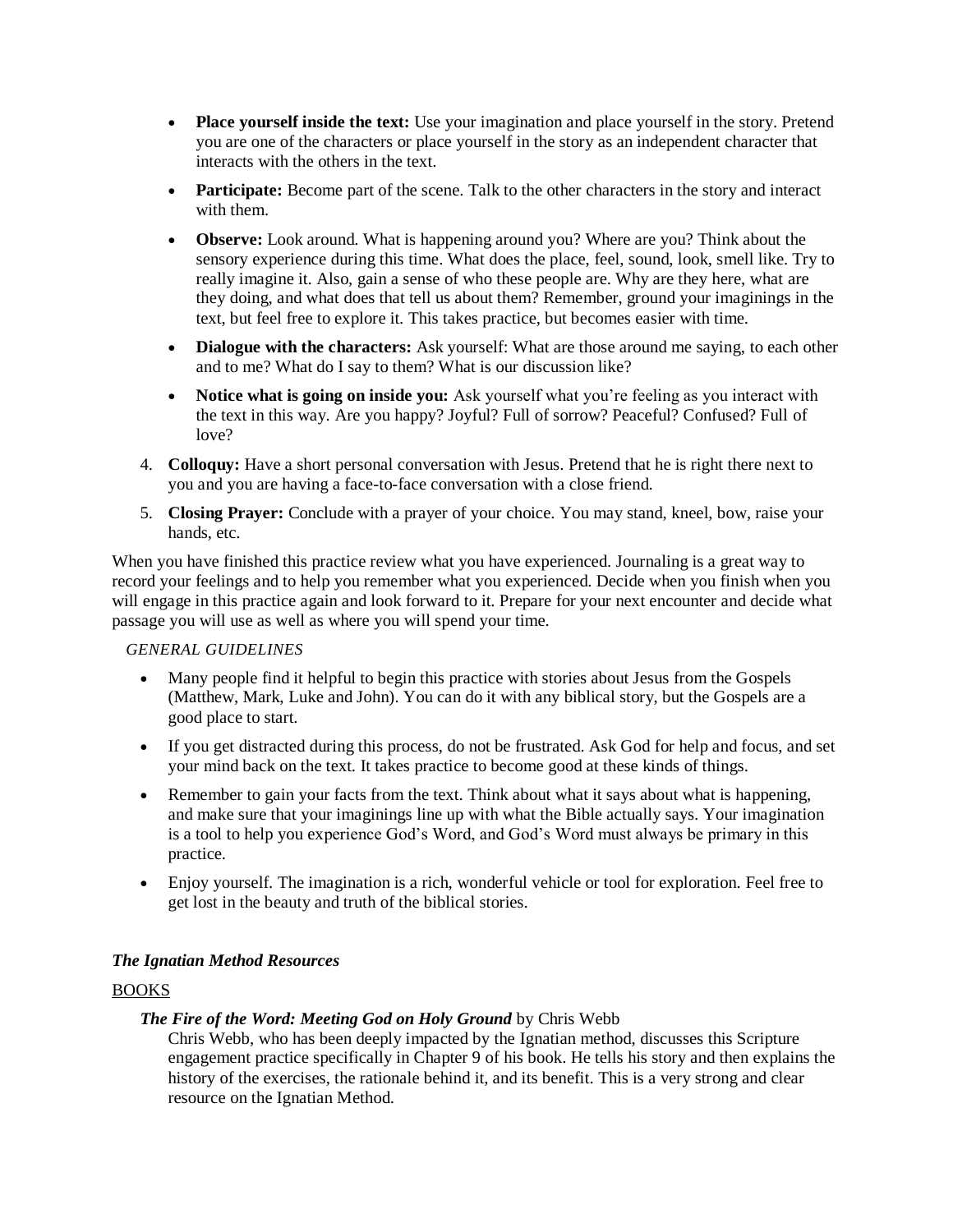- **Place yourself inside the text:** Use your imagination and place yourself in the story. Pretend you are one of the characters or place yourself in the story as an independent character that interacts with the others in the text.
- **Participate:** Become part of the scene. Talk to the other characters in the story and interact with them.
- **Observe:** Look around. What is happening around you? Where are you? Think about the sensory experience during this time. What does the place, feel, sound, look, smell like. Try to really imagine it. Also, gain a sense of who these people are. Why are they here, what are they doing, and what does that tell us about them? Remember, ground your imaginings in the text, but feel free to explore it. This takes practice, but becomes easier with time.
- **Dialogue with the characters:** Ask yourself: What are those around me saying, to each other and to me? What do I say to them? What is our discussion like?
- **Notice what is going on inside you:** Ask yourself what you're feeling as you interact with the text in this way. Are you happy? Joyful? Full of sorrow? Peaceful? Confused? Full of love?
- 4. **Colloquy:** Have a short personal conversation with Jesus. Pretend that he is right there next to you and you are having a face-to-face conversation with a close friend.
- 5. **Closing Prayer:** Conclude with a prayer of your choice. You may stand, kneel, bow, raise your hands, etc.

When you have finished this practice review what you have experienced. Journaling is a great way to record your feelings and to help you remember what you experienced. Decide when you finish when you will engage in this practice again and look forward to it. Prepare for your next encounter and decide what passage you will use as well as where you will spend your time.

#### *GENERAL GUIDELINES*

- Many people find it helpful to begin this practice with stories about Jesus from the Gospels (Matthew, Mark, Luke and John). You can do it with any biblical story, but the Gospels are a good place to start.
- If you get distracted during this process, do not be frustrated. Ask God for help and focus, and set your mind back on the text. It takes practice to become good at these kinds of things.
- Remember to gain your facts from the text. Think about what it says about what is happening, and make sure that your imaginings line up with what the Bible actually says. Your imagination is a tool to help you experience God's Word, and God's Word must always be primary in this practice.
- Enjoy yourself. The imagination is a rich, wonderful vehicle or tool for exploration. Feel free to get lost in the beauty and truth of the biblical stories.

## *The Ignatian Method Resources*

## BOOKS

#### *[The Fire of the Word: Meeting God on Holy Ground](http://biblegateway.christianbook.com/fire-word-meeting-god-holy-ground/chris-webb/9780830835638/pd/835638?event=ESRCG)* by Chris Webb

Chris Webb, who has been deeply impacted by the Ignatian method, discusses this Scripture engagement practice specifically in Chapter 9 of his book. He tells his story and then explains the history of the exercises, the rationale behind it, and its benefit. This is a very strong and clear resource on the Ignatian Method.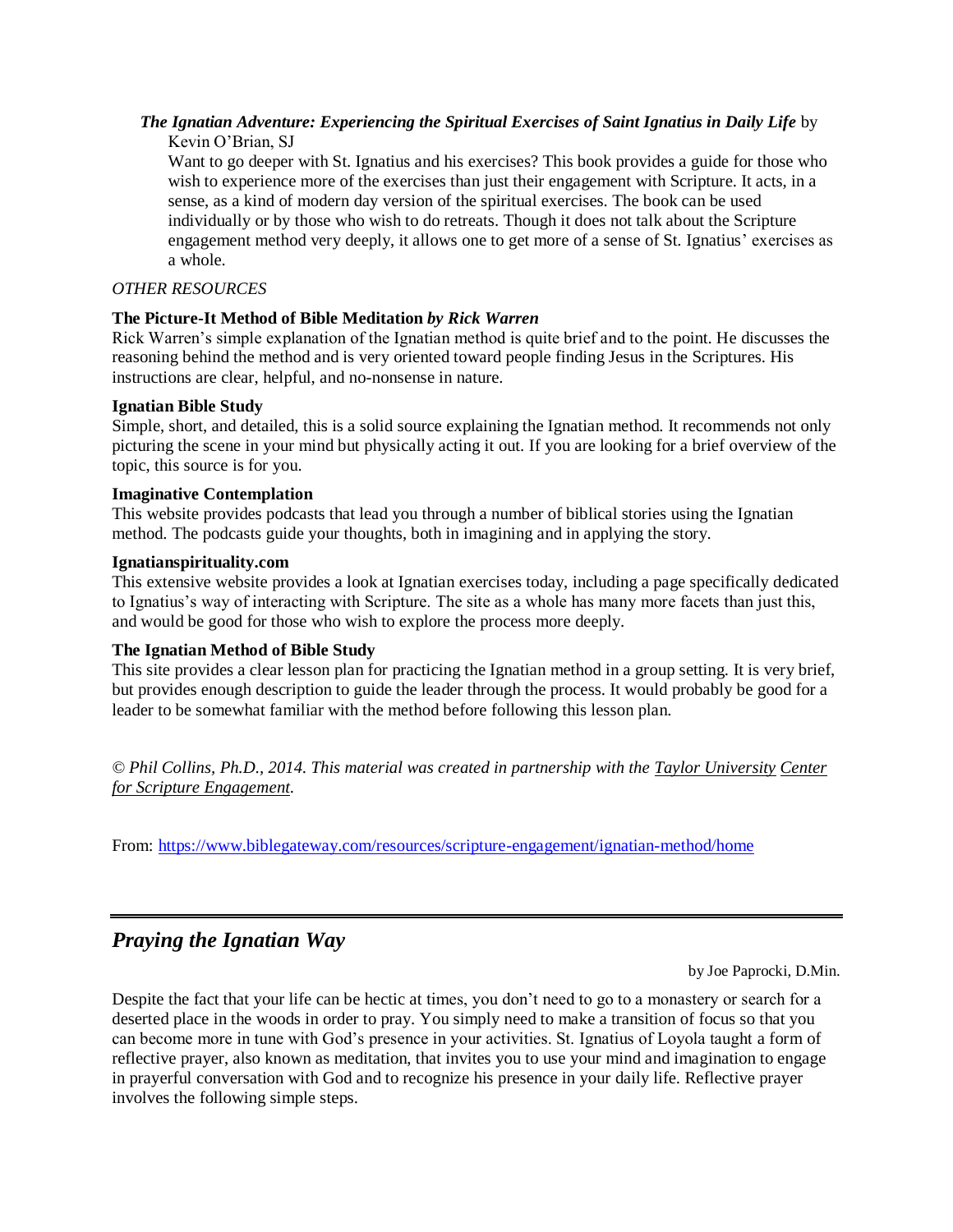#### *[The Ignatian Adventure: Experiencing the Spiritual Exercises of Saint Ignatius in Daily Life](http://biblegateway.christianbook.com/ignatian-adventure-experiencing-spiritual-exercises-ignatius/kevin-obrien/9780829435771/pd/435771?event=ESRCG)* by Kevin O'Brian, SJ

Want to go deeper with St. Ignatius and his exercises? This book provides a guide for those who wish to experience more of the exercises than just their engagement with Scripture. It acts, in a sense, as a kind of modern day version of the spiritual exercises. The book can be used individually or by those who wish to do retreats. Though it does not talk about the Scripture engagement method very deeply, it allows one to get more of a sense of St. Ignatius' exercises as a whole.

#### *OTHER RESOURCES*

#### **[The Picture-It Method of Bible Meditation](http://rickwarren.org/devotional/english/the-picture-it-method-of-bible-meditation)** *by Rick Warren*

Rick Warren's simple explanation of the Ignatian method is quite brief and to the point. He discusses the reasoning behind the method and is very oriented toward people finding Jesus in the Scriptures. His instructions are clear, helpful, and no-nonsense in nature.

#### **[Ignatian Bible Study](http://sojournersyperegrinas.com/ignatian-bible-study/)**

Simple, short, and detailed, this is a solid source explaining the Ignatian method. It recommends not only picturing the scene in your mind but physically acting it out. If you are looking for a brief overview of the topic, this source is for you.

#### **[Imaginative Contemplation](http://pray-as-you-go.org/prayer-resources/imaginative-contemplation/)**

This website provides podcasts that lead you through a number of biblical stories using the Ignatian method. The podcasts guide your thoughts, both in imagining and in applying the story.

#### **[Ignatianspirituality.com](http://www.ignatianspirituality.com/ignatian-prayer/the-spiritual-exercises)**

This extensive website provides a look at Ignatian exercises today, including a page specifically dedicated to Ignatius's way of interacting with Scripture. The site as a whole has many more facets than just this, and would be good for those who wish to explore the process more deeply.

#### **[The Ignatian Method of Bible Study](http://home.earthlink.net/~haywoodm/biblestudymethods.html)**

This site provides a clear lesson plan for practicing the Ignatian method in a group setting. It is very brief, but provides enough description to guide the leader through the process. It would probably be good for a leader to be somewhat familiar with the method before following this lesson plan.

© Phil Collins, Ph.D., 2014. This material was created in partnership with the **[Taylor University](http://www.taylor.edu/student-life/spiritual-life/discipleship/?utm_source=biblegateway&utm_medium=website&utm_campaign=scripture-engagement) Center** *[for Scripture Engagement.](http://tucse.taylor.edu/?utm_source=biblegateway&utm_medium=website&utm_campaign=scripture-engagement)*

From:<https://www.biblegateway.com/resources/scripture-engagement/ignatian-method/home>

# *Praying the Ignatian Way*

by Joe Paprocki, D.Min.

Despite the fact that your life can be hectic at times, you don't need to go to a monastery or search for a deserted place in the woods in order to pray. You simply need to make a transition of focus so that you can become more in tune with God's presence in your activities. St. Ignatius of Loyola taught a form of reflective prayer, also known as meditation, that invites you to use your mind and imagination to engage in prayerful conversation with God and to recognize his presence in your daily life. Reflective prayer involves the following simple steps.